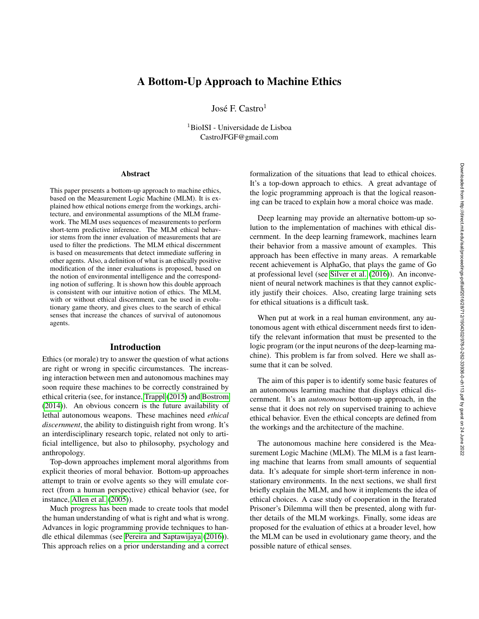# A Bottom-Up Approach to Machine Ethics

José F. Castro $^1$ 

<sup>1</sup>BioISI - Universidade de Lisboa CastroJFGF@gmail.com

#### Abstract

This paper presents a bottom-up approach to machine ethics, based on the Measurement Logic Machine (MLM). It is explained how ethical notions emerge from the workings, architecture, and environmental assumptions of the MLM framework. The MLM uses sequences of measurements to perform short-term predictive inference. The MLM ethical behavior stems from the inner evaluation of measurements that are used to filter the predictions. The MLM ethical discernment is based on measurements that detect immediate suffering in other agents. Also, a definition of what is an ethically positive modification of the inner evaluations is proposed, based on the notion of environmental intelligence and the corresponding notion of suffering. It is shown how this double approach is consistent with our intuitive notion of ethics. The MLM, with or without ethical discernment, can be used in evolutionary game theory, and gives clues to the search of ethical senses that increase the chances of survival of autonomous agents.

### Introduction

Ethics (or morale) try to answer the question of what actions are right or wrong in specific circumstances. The increasing interaction between men and autonomous machines may soon require these machines to be correctly constrained by ethical criteria (see, for instance, [Trappl](#page-7-0) [\(2015\)](#page-7-0) and [Bostrom](#page-7-1) [\(2014\)](#page-7-1)). An obvious concern is the future availability of lethal autonomous weapons. These machines need *ethical discernment*, the ability to distinguish right from wrong. It's an interdisciplinary research topic, related not only to artificial intelligence, but also to philosophy, psychology and anthropology.

Top-down approaches implement moral algorithms from explicit theories of moral behavior. Bottom-up approaches attempt to train or evolve agents so they will emulate correct (from a human perspective) ethical behavior (see, for instance, [Allen et al.](#page-7-2) [\(2005\)](#page-7-2)).

Much progress has been made to create tools that model the human understanding of what is right and what is wrong. Advances in logic programming provide techniques to handle ethical dilemmas (see [Pereira and Saptawijaya](#page-7-3) [\(2016\)](#page-7-3)). This approach relies on a prior understanding and a correct

formalization of the situations that lead to ethical choices. It's a top-down approach to ethics. A great advantage of the logic programming approach is that the logical reasoning can be traced to explain how a moral choice was made.

Deep learning may provide an alternative bottom-up solution to the implementation of machines with ethical discernment. In the deep learning framework, machines learn their behavior from a massive amount of examples. This approach has been effective in many areas. A remarkable recent achievement is AlphaGo, that plays the game of Go at professional level (see [Silver et al.](#page-7-4) [\(2016\)](#page-7-4)). An inconvenient of neural network machines is that they cannot explicitly justify their choices. Also, creating large training sets for ethical situations is a difficult task.

When put at work in a real human environment, any autonomous agent with ethical discernment needs first to identify the relevant information that must be presented to the logic program (or the input neurons of the deep-learning machine). This problem is far from solved. Here we shall assume that it can be solved.

The aim of this paper is to identify some basic features of an autonomous learning machine that displays ethical discernment. It's an *autonomous* bottom-up approach, in the sense that it does not rely on supervised training to achieve ethical behavior. Even the ethical concepts are defined from the workings and the architecture of the machine.

The autonomous machine here considered is the Measurement Logic Machine (MLM). The MLM is a fast learning machine that learns from small amounts of sequential data. It's adequate for simple short-term inference in nonstationary environments. In the next sections, we shall first briefly explain the MLM, and how it implements the idea of ethical choices. A case study of cooperation in the Iterated Prisoner's Dilemma will then be presented, along with further details of the MLM workings. Finally, some ideas are proposed for the evaluation of ethics at a broader level, how the MLM can be used in evolutionary game theory, and the possible nature of ethical senses.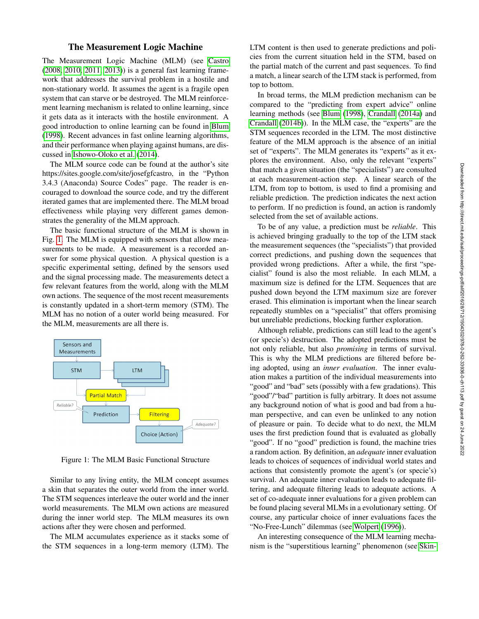## The Measurement Logic Machine

The Measurement Logic Machine (MLM) (see [Castro](#page-7-5) [\(2008,](#page-7-5) [2010,](#page-7-6) [2011,](#page-7-7) [2013\)](#page-7-8)) is a general fast learning framework that addresses the survival problem in a hostile and non-stationary world. It assumes the agent is a fragile open system that can starve or be destroyed. The MLM reinforcement learning mechanism is related to online learning, since it gets data as it interacts with the hostile environment. A good introduction to online learning can be found in [Blum](#page-7-9) [\(1998\)](#page-7-9). Recent advances in fast online learning algorithms, and their performance when playing against humans, are discussed in [Ishowo-Oloko et al.](#page-7-10) [\(2014\)](#page-7-10).

The MLM source code can be found at the author's site https://sites.google.com/site/josefgfcastro, in the "Python 3.4.3 (Anaconda) Source Codes" page. The reader is encouraged to download the source code, and try the different iterated games that are implemented there. The MLM broad effectiveness while playing very different games demonstrates the generality of the MLM approach.

The basic functional structure of the MLM is shown in Fig. [1.](#page-1-0) The MLM is equipped with sensors that allow measurements to be made. A measurement is a recorded answer for some physical question. A physical question is a specific experimental setting, defined by the sensors used and the signal processing made. The measurements detect a few relevant features from the world, along with the MLM own actions. The sequence of the most recent measurements is constantly updated in a short-term memory (STM). The MLM has no notion of a outer world being measured. For the MLM, measurements are all there is.



<span id="page-1-0"></span>Figure 1: The MLM Basic Functional Structure

Similar to any living entity, the MLM concept assumes a skin that separates the outer world from the inner world. The STM sequences interleave the outer world and the inner world measurements. The MLM own actions are measured during the inner world step. The MLM measures its own actions after they were chosen and performed.

The MLM accumulates experience as it stacks some of the STM sequences in a long-term memory (LTM). The LTM content is then used to generate predictions and policies from the current situation held in the STM, based on the partial match of the current and past sequences. To find a match, a linear search of the LTM stack is performed, from top to bottom.

In broad terms, the MLM prediction mechanism can be compared to the "predicting from expert advice" online learning methods (see [Blum](#page-7-9) [\(1998\)](#page-7-9), [Crandall](#page-7-11) [\(2014a\)](#page-7-11) and [Crandall](#page-7-12) [\(2014b\)](#page-7-12)). In the MLM case, the "experts" are the STM sequences recorded in the LTM. The most distinctive feature of the MLM approach is the absence of an initial set of "experts". The MLM generates its "experts" as it explores the environment. Also, only the relevant "experts" that match a given situation (the "specialists") are consulted at each measurement-action step. A linear search of the LTM, from top to bottom, is used to find a promising and reliable prediction. The prediction indicates the next action to perform. If no prediction is found, an action is randomly selected from the set of available actions.

To be of any value, a prediction must be *reliable*. This is achieved bringing gradually to the top of the LTM stack the measurement sequences (the "specialists") that provided correct predictions, and pushing down the sequences that provided wrong predictions. After a while, the first "specialist" found is also the most reliable. In each MLM, a maximum size is defined for the LTM. Sequences that are pushed down beyond the LTM maximum size are forever erased. This elimination is important when the linear search repeatedly stumbles on a "specialist" that offers promising but unreliable predictions, blocking further exploration.

Although reliable, predictions can still lead to the agent's (or specie's) destruction. The adopted predictions must be not only reliable, but also *promising* in terms of survival. This is why the MLM predictions are filtered before being adopted, using an *inner evaluation*. The inner evaluation makes a partition of the individual measurements into "good" and "bad" sets (possibly with a few gradations). This "good"/"bad" partition is fully arbitrary. It does not assume any background notion of what is good and bad from a human perspective, and can even be unlinked to any notion of pleasure or pain. To decide what to do next, the MLM uses the first prediction found that is evaluated as globally "good". If no "good" prediction is found, the machine tries a random action. By definition, an *adequate* inner evaluation leads to choices of sequences of individual world states and actions that consistently promote the agent's (or specie's) survival. An adequate inner evaluation leads to adequate filtering, and adequate filtering leads to adequate actions. A set of co-adequate inner evaluations for a given problem can be found placing several MLMs in a evolutionary setting. Of course, any particular choice of inner evaluations faces the "No-Free-Lunch" dilemmas (see [Wolpert](#page-7-13) [\(1996\)](#page-7-13)).

An interesting consequence of the MLM learning mechanism is the "superstitious learning" phenomenon (see [Skin-](#page-7-14)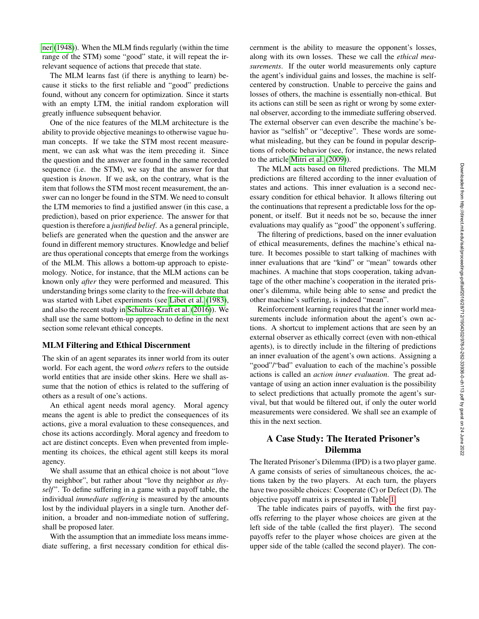[ner](#page-7-14) [\(1948\)](#page-7-14)). When the MLM finds regularly (within the time range of the STM) some "good" state, it will repeat the irrelevant sequence of actions that precede that state.

The MLM learns fast (if there is anything to learn) because it sticks to the first reliable and "good" predictions found, without any concern for optimization. Since it starts with an empty LTM, the initial random exploration will greatly influence subsequent behavior.

One of the nice features of the MLM architecture is the ability to provide objective meanings to otherwise vague human concepts. If we take the STM most recent measurement, we can ask what was the item preceding it. Since the question and the answer are found in the same recorded sequence (i.e. the STM), we say that the answer for that question is *known*. If we ask, on the contrary, what is the item that follows the STM most recent measurement, the answer can no longer be found in the STM. We need to consult the LTM memories to find a justified answer (in this case, a prediction), based on prior experience. The answer for that question is therefore a *justified belief*. As a general principle, beliefs are generated when the question and the answer are found in different memory structures. Knowledge and belief are thus operational concepts that emerge from the workings of the MLM. This allows a bottom-up approach to epistemology. Notice, for instance, that the MLM actions can be known only *after* they were performed and measured. This understanding brings some clarity to the free-will debate that was started with Libet experiments (see [Libet et al.](#page-7-15) [\(1983\)](#page-7-15), and also the recent study in [Schultze-Kraft et al.](#page-7-16) [\(2016\)](#page-7-16)). We shall use the same bottom-up approach to define in the next section some relevant ethical concepts.

### MLM Filtering and Ethical Discernment

The skin of an agent separates its inner world from its outer world. For each agent, the word *others* refers to the outside world entities that are inside other skins. Here we shall assume that the notion of ethics is related to the suffering of others as a result of one's actions.

An ethical agent needs moral agency. Moral agency means the agent is able to predict the consequences of its actions, give a moral evaluation to these consequences, and chose its actions accordingly. Moral agency and freedom to act are distinct concepts. Even when prevented from implementing its choices, the ethical agent still keeps its moral agency.

We shall assume that an ethical choice is not about "love thy neighbor", but rather about "love thy neighbor *as thyself* ". To define suffering in a game with a payoff table, the individual *immediate suffering* is measured by the amounts lost by the individual players in a single turn. Another definition, a broader and non-immediate notion of suffering, shall be proposed later.

With the assumption that an immediate loss means immediate suffering, a first necessary condition for ethical discernment is the ability to measure the opponent's losses, along with its own losses. These we call the *ethical measurements*. If the outer world measurements only capture the agent's individual gains and losses, the machine is selfcentered by construction. Unable to perceive the gains and losses of others, the machine is essentially non-ethical. But its actions can still be seen as right or wrong by some external observer, according to the immediate suffering observed. The external observer can even describe the machine's behavior as "selfish" or "deceptive". These words are somewhat misleading, but they can be found in popular descriptions of robotic behavior (see, for instance, the news related to the article [Mitri et al.](#page-7-17) [\(2009\)](#page-7-17)).

The MLM acts based on filtered predictions. The MLM predictions are filtered according to the inner evaluation of states and actions. This inner evaluation is a second necessary condition for ethical behavior. It allows filtering out the continuations that represent a predictable loss for the opponent, or itself. But it needs not be so, because the inner evaluations may qualify as "good" the opponent's suffering.

The filtering of predictions, based on the inner evaluation of ethical measurements, defines the machine's ethical nature. It becomes possible to start talking of machines with inner evaluations that are "kind" or "mean" towards other machines. A machine that stops cooperation, taking advantage of the other machine's cooperation in the iterated prisoner's dilemma, while being able to sense and predict the other machine's suffering, is indeed "mean".

Reinforcement learning requires that the inner world measurements include information about the agent's own actions. A shortcut to implement actions that are seen by an external observer as ethically correct (even with non-ethical agents), is to directly include in the filtering of predictions an inner evaluation of the agent's own actions. Assigning a "good"/"bad" evaluation to each of the machine's possible actions is called an *action inner evaluation*. The great advantage of using an action inner evaluation is the possibility to select predictions that actually promote the agent's survival, but that would be filtered out, if only the outer world measurements were considered. We shall see an example of this in the next section.

# A Case Study: The Iterated Prisoner's Dilemma

The Iterated Prisoner's Dilemma (IPD) is a two player game. A game consists of series of simultaneous choices, the actions taken by the two players. At each turn, the players have two possible choices: Cooperate (C) or Defect (D). The objective payoff matrix is presented in Table [1.](#page-3-0)

The table indicates pairs of payoffs, with the first payoffs referring to the player whose choices are given at the left side of the table (called the first player). The second payoffs refer to the player whose choices are given at the upper side of the table (called the second player). The con-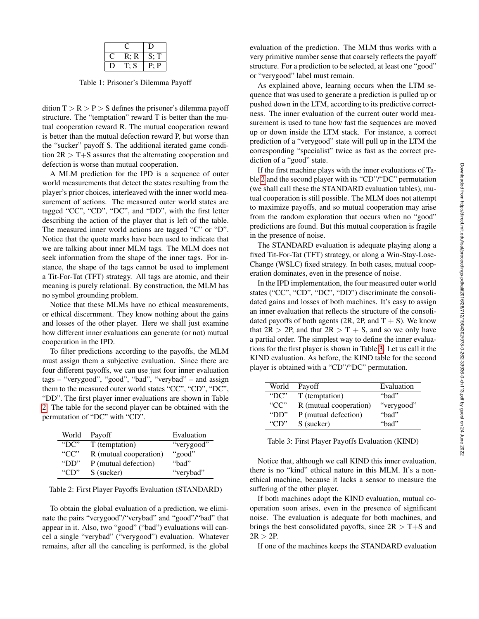|  | R; R | $S$ : T |
|--|------|---------|
|  | T: S | P: P    |

<span id="page-3-0"></span>Table 1: Prisoner's Dilemma Payoff

dition  $T > R > P > S$  defines the prisoner's dilemma payoff structure. The "temptation" reward T is better than the mutual cooperation reward R. The mutual cooperation reward is better than the mutual defection reward P, but worse than the "sucker" payoff S. The additional iterated game condition  $2R > T + S$  assures that the alternating cooperation and defection is worse than mutual cooperation.

A MLM prediction for the IPD is a sequence of outer world measurements that detect the states resulting from the player's prior choices, interleaved with the inner world measurement of actions. The measured outer world states are tagged "CC", "CD", "DC", and "DD", with the first letter describing the action of the player that is left of the table. The measured inner world actions are tagged "C" or "D". Notice that the quote marks have been used to indicate that we are talking about inner MLM tags. The MLM does not seek information from the shape of the inner tags. For instance, the shape of the tags cannot be used to implement a Tit-For-Tat (TFT) strategy. All tags are atomic, and their meaning is purely relational. By construction, the MLM has no symbol grounding problem.

Notice that these MLMs have no ethical measurements, or ethical discernment. They know nothing about the gains and losses of the other player. Here we shall just examine how different inner evaluations can generate (or not) mutual cooperation in the IPD.

To filter predictions according to the payoffs, the MLM must assign them a subjective evaluation. Since there are four different payoffs, we can use just four inner evaluation tags – "verygood", "good", "bad", "verybad" – and assign them to the measured outer world states "CC", "CD", "DC", "DD". The first player inner evaluations are shown in Table [2.](#page-3-1) The table for the second player can be obtained with the permutation of "DC" with "CD".

| World    | Payoff                 | Evaluation |
|----------|------------------------|------------|
| "DC"     | T (temptation)         | "verygood" |
| " $CC$ " | R (mutual cooperation) | "good"     |
| "DD"     | P (mutual defection)   | "bad"      |
| "CD"     | S (sucker)             | "verybad"  |

<span id="page-3-1"></span>Table 2: First Player Payoffs Evaluation (STANDARD)

To obtain the global evaluation of a prediction, we eliminate the pairs "verygood"/"verybad" and "good"/"bad" that appear in it. Also, two "good" ("bad") evaluations will cancel a single "verybad" ("verygood") evaluation. Whatever remains, after all the canceling is performed, is the global

evaluation of the prediction. The MLM thus works with a very primitive number sense that coarsely reflects the payoff structure. For a prediction to be selected, at least one "good" or "verygood" label must remain.

As explained above, learning occurs when the LTM sequence that was used to generate a prediction is pulled up or pushed down in the LTM, according to its predictive correctness. The inner evaluation of the current outer world measurement is used to tune how fast the sequences are moved up or down inside the LTM stack. For instance, a correct prediction of a "verygood" state will pull up in the LTM the corresponding "specialist" twice as fast as the correct prediction of a "good" state.

If the first machine plays with the inner evaluations of Table [2](#page-3-1) and the second player with its "CD"/"DC" permutation (we shall call these the STANDARD evaluation tables), mutual cooperation is still possible. The MLM does not attempt to maximize payoffs, and so mutual cooperation may arise from the random exploration that occurs when no "good" predictions are found. But this mutual cooperation is fragile in the presence of noise.

The STANDARD evaluation is adequate playing along a fixed Tit-For-Tat (TFT) strategy, or along a Win-Stay-Lose-Change (WSLC) fixed strategy. In both cases, mutual cooperation dominates, even in the presence of noise.

In the IPD implementation, the four measured outer world states ("CC", "CD", "DC", "DD") discriminate the consolidated gains and losses of both machines. It's easy to assign an inner evaluation that reflects the structure of the consolidated payoffs of both agents  $(2R, 2P, and T + S)$ . We know that  $2R > 2P$ , and that  $2R > T + S$ , and so we only have a partial order. The simplest way to define the inner evaluations for the first player is shown in Table [3.](#page-3-2) Let us call it the KIND evaluation. As before, the KIND table for the second player is obtained with a "CD"/"DC" permutation.

| World          | Payoff                 | Evaluation |
|----------------|------------------------|------------|
| $^{\circ}$ DC" | T (temptation)         | "bad"      |
| " $CC$ "       | R (mutual cooperation) | "verygood" |
| "DD"           | P (mutual defection)   | "bad"      |
| " $CD$ "       | S (sucker)             | "bad"      |

<span id="page-3-2"></span>Table 3: First Player Payoffs Evaluation (KIND)

Notice that, although we call KIND this inner evaluation, there is no "kind" ethical nature in this MLM. It's a nonethical machine, because it lacks a sensor to measure the suffering of the other player.

If both machines adopt the KIND evaluation, mutual cooperation soon arises, even in the presence of significant noise. The evaluation is adequate for both machines, and brings the best consolidated payoffs, since  $2R > T + S$  and  $2R > 2P$ .

If one of the machines keeps the STANDARD evaluation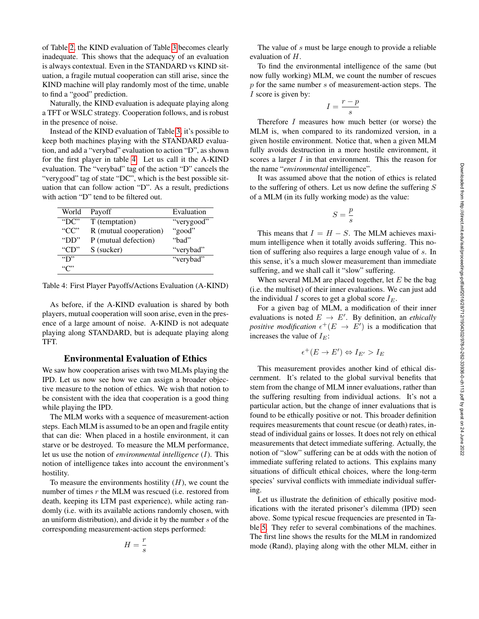of Table [2,](#page-3-1) the KIND evaluation of Table [3](#page-3-2) becomes clearly inadequate. This shows that the adequacy of an evaluation is always contextual. Even in the STANDARD vs KIND situation, a fragile mutual cooperation can still arise, since the KIND machine will play randomly most of the time, unable to find a "good" prediction.

Naturally, the KIND evaluation is adequate playing along a TFT or WSLC strategy. Cooperation follows, and is robust in the presence of noise.

Instead of the KIND evaluation of Table [3,](#page-3-2) it's possible to keep both machines playing with the STANDARD evaluation, and add a "verybad" evaluation to action "D", as shown for the first player in table [4.](#page-4-0) Let us call it the A-KIND evaluation. The "verybad" tag of the action "D" cancels the "verygood" tag of state "DC", which is the best possible situation that can follow action "D". As a result, predictions with action "D" tend to be filtered out.

| World            | Payoff                 | Evaluation |
|------------------|------------------------|------------|
| "DC"             | T (temptation)         | "verygood" |
| " $CC$ "         | R (mutual cooperation) | "good"     |
| "DD $"$          | P (mutual defection)   | "bad"      |
| " $CD$ "         | S (sucker)             | "verybad"  |
| $\mathbf{``D''}$ |                        | "verybad"  |
| "ር"              |                        |            |

<span id="page-4-0"></span>Table 4: First Player Payoffs/Actions Evaluation (A-KIND)

As before, if the A-KIND evaluation is shared by both players, mutual cooperation will soon arise, even in the presence of a large amount of noise. A-KIND is not adequate playing along STANDARD, but is adequate playing along TFT.

## Environmental Evaluation of Ethics

We saw how cooperation arises with two MLMs playing the IPD. Let us now see how we can assign a broader objective measure to the notion of ethics. We wish that notion to be consistent with the idea that cooperation is a good thing while playing the IPD.

The MLM works with a sequence of measurement-action steps. Each MLM is assumed to be an open and fragile entity that can die: When placed in a hostile environment, it can starve or be destroyed. To measure the MLM performance, let us use the notion of *environmental intelligence* (I). This notion of intelligence takes into account the environment's hostility.

To measure the environments hostility  $(H)$ , we count the number of times  $r$  the MLM was rescued (i.e. restored from death, keeping its LTM past experience), while acting randomly (i.e. with its available actions randomly chosen, with an uniform distribution), and divide it by the number s of the corresponding measurement-action steps performed:

$$
H = \frac{r}{s}
$$

The value of s must be large enough to provide a reliable evaluation of H.

To find the environmental intelligence of the same (but now fully working) MLM, we count the number of rescues  $p$  for the same number  $s$  of measurement-action steps. The I score is given by:

$$
I = \frac{r - p}{s}
$$

Therefore I measures how much better (or worse) the MLM is, when compared to its randomized version, in a given hostile environment. Notice that, when a given MLM fully avoids destruction in a more hostile environment, it scores a larger  $I$  in that environment. This the reason for the name "*environmental* intelligence".

It was assumed above that the notion of ethics is related to the suffering of others. Let us now define the suffering  $S$ of a MLM (in its fully working mode) as the value:

$$
S=\frac{p}{s}
$$

This means that  $I = H - S$ . The MLM achieves maximum intelligence when it totally avoids suffering. This notion of suffering also requires a large enough value of s. In this sense, it's a much slower measurement than immediate suffering, and we shall call it "slow" suffering.

When several MLM are placed together, let  $E$  be the bag (i.e. the multiset) of their inner evaluations. We can just add the individual I scores to get a global score  $I_E$ .

For a given bag of MLM, a modification of their inner evaluations is noted  $E \rightarrow E'$ . By definition, an *ethically positive modification*  $\epsilon^+(E \to E')$  is a modification that increases the value of  $I_E$ :

$$
\epsilon^+(E \to E') \Leftrightarrow I_{E'} > I_E
$$

This measurement provides another kind of ethical discernment. It's related to the global survival benefits that stem from the change of MLM inner evaluations, rather than the suffering resulting from individual actions. It's not a particular action, but the change of inner evaluations that is found to be ethically positive or not. This broader definition requires measurements that count rescue (or death) rates, instead of individual gains or losses. It does not rely on ethical measurements that detect immediate suffering. Actually, the notion of "slow" suffering can be at odds with the notion of immediate suffering related to actions. This explains many situations of difficult ethical choices, where the long-term species' survival conflicts with immediate individual suffering.

Let us illustrate the definition of ethically positive modifications with the iterated prisoner's dilemma (IPD) seen above. Some typical rescue frequencies are presented in Table [5.](#page-5-0) They refer to several combinations of the machines. The first line shows the results for the MLM in randomized mode (Rand), playing along with the other MLM, either in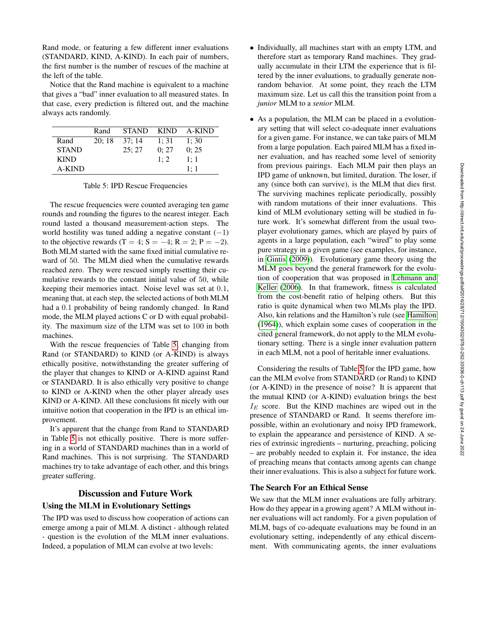Rand mode, or featuring a few different inner evaluations (STANDARD, KIND, A-KIND). In each pair of numbers, the first number is the number of rescues of the machine at the left of the table.

Notice that the Rand machine is equivalent to a machine that gives a "bad" inner evaluation to all measured states. In that case, every prediction is filtered out, and the machine always acts randomly.

|              | Rand  | <b>STAND</b> | <b>KIND</b> | A-KIND |
|--------------|-------|--------------|-------------|--------|
| Rand         | 20:18 | 37: 14       | 1:31        | 1:30   |
| <b>STAND</b> |       | 25:27        | 0:27        | 0:25   |
| <b>KIND</b>  |       |              | 1:2         | 1:1    |
| A-KIND       |       |              |             | 1:1    |

<span id="page-5-0"></span>Table 5: IPD Rescue Frequencies

The rescue frequencies were counted averaging ten game rounds and rounding the figures to the nearest integer. Each round lasted a thousand measurement-action steps. The world hostility was tuned adding a negative constant  $(-1)$ to the objective rewards (T = 4; S = -4; R = 2; P = -2). Both MLM started with the same fixed initial cumulative reward of 50. The MLM died when the cumulative rewards reached zero. They were rescued simply resetting their cumulative rewards to the constant initial value of 50, while keeping their memories intact. Noise level was set at 0.1, meaning that, at each step, the selected actions of both MLM had a 0.1 probability of being randomly changed. In Rand mode, the MLM played actions C or D with equal probability. The maximum size of the LTM was set to 100 in both machines.

With the rescue frequencies of Table [5,](#page-5-0) changing from Rand (or STANDARD) to KIND (or A-KIND) is always ethically positive, notwithstanding the greater suffering of the player that changes to KIND or A-KIND against Rand or STANDARD. It is also ethically very positive to change to KIND or A-KIND when the other player already uses KIND or A-KIND. All these conclusions fit nicely with our intuitive notion that cooperation in the IPD is an ethical improvement.

It's apparent that the change from Rand to STANDARD in Table [5](#page-5-0) is not ethically positive. There is more suffering in a world of STANDARD machines than in a world of Rand machines. This is not surprising. The STANDARD machines try to take advantage of each other, and this brings greater suffering.

## Discussion and Future Work

#### Using the MLM in Evolutionary Settings

The IPD was used to discuss how cooperation of actions can emerge among a pair of MLM. A distinct - although related - question is the evolution of the MLM inner evaluations. Indeed, a population of MLM can evolve at two levels:

- Individually, all machines start with an empty LTM, and therefore start as temporary Rand machines. They gradually accumulate in their LTM the experience that is filtered by the inner evaluations, to gradually generate nonrandom behavior. At some point, they reach the LTM maximum size. Let us call this the transition point from a *junior* MLM to a *senior* MLM.
- As a population, the MLM can be placed in a evolutionary setting that will select co-adequate inner evaluations for a given game. For instance, we can take pairs of MLM from a large population. Each paired MLM has a fixed inner evaluation, and has reached some level of seniority from previous pairings. Each MLM pair then plays an IPD game of unknown, but limited, duration. The loser, if any (since both can survive), is the MLM that dies first. The surviving machines replicate periodically, possibly with random mutations of their inner evaluations. This kind of MLM evolutionary setting will be studied in future work. It's somewhat different from the usual twoplayer evolutionary games, which are played by pairs of agents in a large population, each "wired" to play some pure strategy in a given game (see examples, for instance, in [Gintis](#page-7-18) [\(2009\)](#page-7-18)). Evolutionary game theory using the MLM goes beyond the general framework for the evolution of cooperation that was proposed in [Lehmann and](#page-7-19) [Keller](#page-7-19) [\(2006\)](#page-7-19). In that framework, fitness is calculated from the cost-benefit ratio of helping others. But this ratio is quite dynamical when two MLMs play the IPD. Also, kin relations and the Hamilton's rule (see [Hamilton](#page-7-20) [\(1964\)](#page-7-20)), which explain some cases of cooperation in the cited general framework, do not apply to the MLM evolutionary setting. There is a single inner evaluation pattern in each MLM, not a pool of heritable inner evaluations.

Considering the results of Table [5](#page-5-0) for the IPD game, how can the MLM evolve from STANDARD (or Rand) to KIND (or A-KIND) in the presence of noise? It is apparent that the mutual KIND (or A-KIND) evaluation brings the best  $I<sub>E</sub>$  score. But the KIND machines are wiped out in the presence of STANDARD or Rand. It seems therefore impossible, within an evolutionary and noisy IPD framework, to explain the appearance and persistence of KIND. A series of extrinsic ingredients – nurturing, preaching, policing – are probably needed to explain it. For instance, the idea of preaching means that contacts among agents can change their inner evaluations. This is also a subject for future work.

## The Search For an Ethical Sense

We saw that the MLM inner evaluations are fully arbitrary. How do they appear in a growing agent? A MLM without inner evaluations will act randomly. For a given population of MLM, bags of co-adequate evaluations may be found in an evolutionary setting, independently of any ethical discernment. With communicating agents, the inner evaluations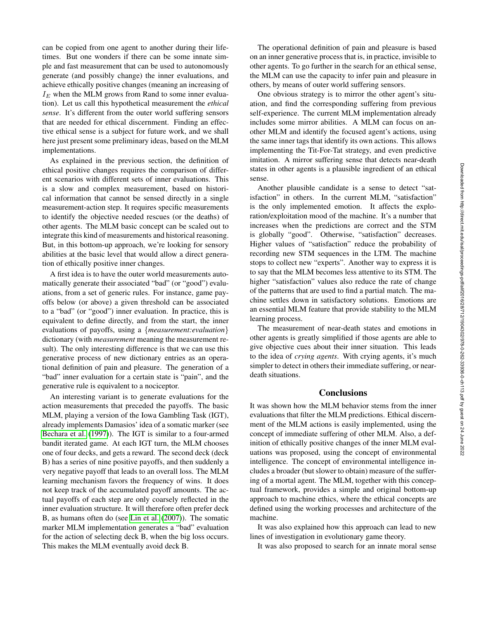can be copied from one agent to another during their lifetimes. But one wonders if there can be some innate simple and fast measurement that can be used to autonomously generate (and possibly change) the inner evaluations, and achieve ethically positive changes (meaning an increasing of  $I<sub>E</sub>$  when the MLM grows from Rand to some inner evaluation). Let us call this hypothetical measurement the *ethical sense*. It's different from the outer world suffering sensors that are needed for ethical discernment. Finding an effective ethical sense is a subject for future work, and we shall here just present some preliminary ideas, based on the MLM implementations.

As explained in the previous section, the definition of ethical positive changes requires the comparison of different scenarios with different sets of inner evaluations. This is a slow and complex measurement, based on historical information that cannot be sensed directly in a single measurement-action step. It requires specific measurements to identify the objective needed rescues (or the deaths) of other agents. The MLM basic concept can be scaled out to integrate this kind of measurements and historical reasoning. But, in this bottom-up approach, we're looking for sensory abilities at the basic level that would allow a direct generation of ethically positive inner changes.

A first idea is to have the outer world measurements automatically generate their associated "bad" (or "good") evaluations, from a set of generic rules. For instance, game payoffs below (or above) a given threshold can be associated to a "bad" (or "good") inner evaluation. In practice, this is equivalent to define directly, and from the start, the inner evaluations of payoffs, using a {*measurement:evaluation*} dictionary (with *measurement* meaning the measurement result). The only interesting difference is that we can use this generative process of new dictionary entries as an operational definition of pain and pleasure. The generation of a "bad" inner evaluation for a certain state is "pain", and the generative rule is equivalent to a nociceptor.

An interesting variant is to generate evaluations for the action measurements that preceded the payoffs. The basic MLM, playing a version of the Iowa Gambling Task (IGT), already implements Damasios' idea of a somatic marker (see [Bechara et al.](#page-7-21) [\(1997\)](#page-7-21)). The IGT is similar to a four-armed bandit iterated game. At each IGT turn, the MLM chooses one of four decks, and gets a reward. The second deck (deck B) has a series of nine positive payoffs, and then suddenly a very negative payoff that leads to an overall loss. The MLM learning mechanism favors the frequency of wins. It does not keep track of the accumulated payoff amounts. The actual payoffs of each step are only coarsely reflected in the inner evaluation structure. It will therefore often prefer deck B, as humans often do (see [Lin et al.](#page-7-22) [\(2007\)](#page-7-22)). The somatic marker MLM implementation generates a "bad" evaluation for the action of selecting deck B, when the big loss occurs. This makes the MLM eventually avoid deck B.

The operational definition of pain and pleasure is based on an inner generative process that is, in practice, invisible to other agents. To go further in the search for an ethical sense, the MLM can use the capacity to infer pain and pleasure in others, by means of outer world suffering sensors.

One obvious strategy is to mirror the other agent's situation, and find the corresponding suffering from previous self-experience. The current MLM implementation already includes some mirror abilities. A MLM can focus on another MLM and identify the focused agent's actions, using the same inner tags that identify its own actions. This allows implementing the Tit-For-Tat strategy, and even predictive imitation. A mirror suffering sense that detects near-death states in other agents is a plausible ingredient of an ethical sense.

Another plausible candidate is a sense to detect "satisfaction" in others. In the current MLM, "satisfaction" is the only implemented emotion. It affects the exploration/exploitation mood of the machine. It's a number that increases when the predictions are correct and the STM is globally "good". Otherwise, "satisfaction" decreases. Higher values of "satisfaction" reduce the probability of recording new STM sequences in the LTM. The machine stops to collect new "experts". Another way to express it is to say that the MLM becomes less attentive to its STM. The higher "satisfaction" values also reduce the rate of change of the patterns that are used to find a partial match. The machine settles down in satisfactory solutions. Emotions are an essential MLM feature that provide stability to the MLM learning process.

The measurement of near-death states and emotions in other agents is greatly simplified if those agents are able to give objective cues about their inner situation. This leads to the idea of *crying agents*. With crying agents, it's much simpler to detect in others their immediate suffering, or neardeath situations.

### **Conclusions**

It was shown how the MLM behavior stems from the inner evaluations that filter the MLM predictions. Ethical discernment of the MLM actions is easily implemented, using the concept of immediate suffering of other MLM. Also, a definition of ethically positive changes of the inner MLM evaluations was proposed, using the concept of environmental intelligence. The concept of environmental intelligence includes a broader (but slower to obtain) measure of the suffering of a mortal agent. The MLM, together with this conceptual framework, provides a simple and original bottom-up approach to machine ethics, where the ethical concepts are defined using the working processes and architecture of the machine.

It was also explained how this approach can lead to new lines of investigation in evolutionary game theory.

It was also proposed to search for an innate moral sense